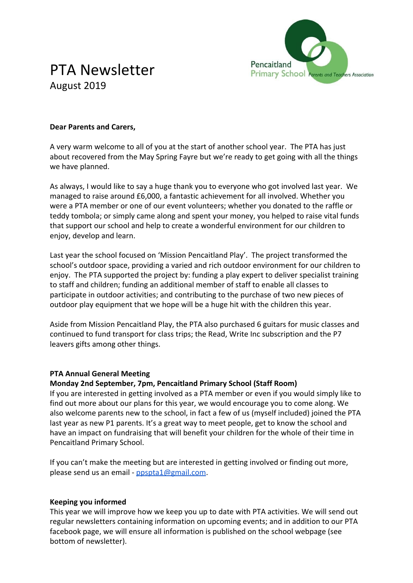

# PTA Newsletter August 2019

#### **Dear Parents and Carers,**

A very warm welcome to all of you at the start of another school year. The PTA has just about recovered from the May Spring Fayre but we're ready to get going with all the things we have planned.

As always, I would like to say a huge thank you to everyone who got involved last year. We managed to raise around £6,000, a fantastic achievement for all involved. Whether you were a PTA member or one of our event volunteers; whether you donated to the raffle or teddy tombola; or simply came along and spent your money, you helped to raise vital funds that support our school and help to create a wonderful environment for our children to enjoy, develop and learn.

Last year the school focused on 'Mission Pencaitland Play'. The project transformed the school's outdoor space, providing a varied and rich outdoor environment for our children to enjoy. The PTA supported the project by: funding a play expert to deliver specialist training to staff and children; funding an additional member of staff to enable all classes to participate in outdoor activities; and contributing to the purchase of two new pieces of outdoor play equipment that we hope will be a huge hit with the children this year.

Aside from Mission Pencaitland Play, the PTA also purchased 6 guitars for music classes and continued to fund transport for class trips; the Read, Write Inc subscription and the P7 leavers gifts among other things.

#### **PTA Annual General Meeting**

#### **Monday 2nd September, 7pm, Pencaitland Primary School (Staff Room)**

If you are interested in getting involved as a PTA member or even if you would simply like to find out more about our plans for this year, we would encourage you to come along. We also welcome parents new to the school, in fact a few of us (myself included) joined the PTA last year as new P1 parents. It's a great way to meet people, get to know the school and have an impact on fundraising that will benefit your children for the whole of their time in Pencaitland Primary School.

If you can't make the meeting but are interested in getting involved or finding out more, please send us an email - [ppspta1@gmail.com](mailto:ppspta1@gmail.com).

#### **Keeping you informed**

This year we will improve how we keep you up to date with PTA activities. We will send out regular newsletters containing information on upcoming events; and in addition to our PTA facebook page, we will ensure all information is published on the school webpage (see bottom of newsletter).